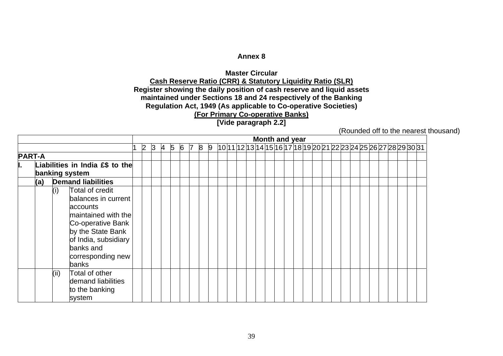## **Annex 8**

## **Master Circular Cash Reserve Ratio (CRR) & Statutory Liquidity Ratio (SLR) Register showing the daily position of cash reserve and liquid assets maintained under Sections 18 and 24 respectively of the Banking Regulation Act, 1949 (As applicable to Co-operative Societies) (For Primary Co-operative Banks)**

## **[Vide paragraph 2.2]**

(Rounded off to the nearest thousand)

|               |      |                                                                                                                                                                                        |              |              |              |   |   |                |   |   |  |  |  | Month and year                                                    |  |  |  |  |  |  |  |  |
|---------------|------|----------------------------------------------------------------------------------------------------------------------------------------------------------------------------------------|--------------|--------------|--------------|---|---|----------------|---|---|--|--|--|-------------------------------------------------------------------|--|--|--|--|--|--|--|--|
|               |      |                                                                                                                                                                                        | $\mathsf{2}$ | $\mathsf{B}$ | <sup>4</sup> | 5 | 6 | $\overline{7}$ | 8 | 9 |  |  |  | 10 11 12 13 14 15 16 17 18 19 20 21 22 23 24 25 26 27 28 29 30 31 |  |  |  |  |  |  |  |  |
| <b>PART-A</b> |      |                                                                                                                                                                                        |              |              |              |   |   |                |   |   |  |  |  |                                                                   |  |  |  |  |  |  |  |  |
|               |      | Liabilities in India £\$ to the                                                                                                                                                        |              |              |              |   |   |                |   |   |  |  |  |                                                                   |  |  |  |  |  |  |  |  |
|               |      | banking system                                                                                                                                                                         |              |              |              |   |   |                |   |   |  |  |  |                                                                   |  |  |  |  |  |  |  |  |
| (a)           |      | <b>Demand liabilities</b>                                                                                                                                                              |              |              |              |   |   |                |   |   |  |  |  |                                                                   |  |  |  |  |  |  |  |  |
|               | (i)  | Total of credit<br>balances in current<br>accounts<br>maintained with the<br>Co-operative Bank<br>by the State Bank<br>of India, subsidiary<br>banks and<br>corresponding new<br>banks |              |              |              |   |   |                |   |   |  |  |  |                                                                   |  |  |  |  |  |  |  |  |
|               | (ii) | Total of other<br>demand liabilities<br>to the banking<br>system                                                                                                                       |              |              |              |   |   |                |   |   |  |  |  |                                                                   |  |  |  |  |  |  |  |  |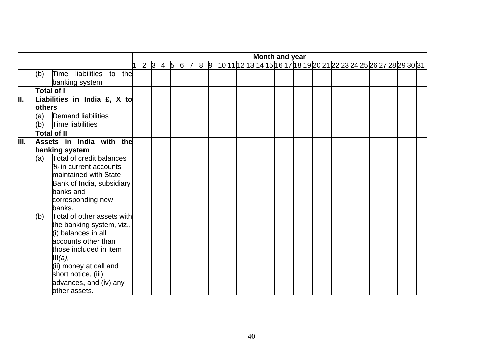|      |                                                                                                                                                                                                                                               |           |   |                |   |   |                |   |                |  |  |  |  | Month and year |  |  |  |  |  |                                                                   |  |  |
|------|-----------------------------------------------------------------------------------------------------------------------------------------------------------------------------------------------------------------------------------------------|-----------|---|----------------|---|---|----------------|---|----------------|--|--|--|--|----------------|--|--|--|--|--|-------------------------------------------------------------------|--|--|
|      |                                                                                                                                                                                                                                               | $\vert$ 2 | 3 | $\overline{A}$ | 5 | 6 | $\overline{7}$ | 8 | $\overline{9}$ |  |  |  |  |                |  |  |  |  |  | 10 11 12 13 14 15 16 17 18 19 20 21 22 23 24 25 26 27 28 29 30 31 |  |  |
|      | Time liabilities to the<br>(b)<br>banking system                                                                                                                                                                                              |           |   |                |   |   |                |   |                |  |  |  |  |                |  |  |  |  |  |                                                                   |  |  |
|      | Total of I                                                                                                                                                                                                                                    |           |   |                |   |   |                |   |                |  |  |  |  |                |  |  |  |  |  |                                                                   |  |  |
| π.   | Liabilities in India £, $X$ to<br><b>lothers</b>                                                                                                                                                                                              |           |   |                |   |   |                |   |                |  |  |  |  |                |  |  |  |  |  |                                                                   |  |  |
|      | <b>Demand liabilities</b><br>(a)                                                                                                                                                                                                              |           |   |                |   |   |                |   |                |  |  |  |  |                |  |  |  |  |  |                                                                   |  |  |
|      | (b)<br>Time liabilities                                                                                                                                                                                                                       |           |   |                |   |   |                |   |                |  |  |  |  |                |  |  |  |  |  |                                                                   |  |  |
|      | <b>Total of II</b>                                                                                                                                                                                                                            |           |   |                |   |   |                |   |                |  |  |  |  |                |  |  |  |  |  |                                                                   |  |  |
| III. | Assets in India with the<br>banking system                                                                                                                                                                                                    |           |   |                |   |   |                |   |                |  |  |  |  |                |  |  |  |  |  |                                                                   |  |  |
|      | Total of credit balances<br>(a)<br>% in current accounts<br>maintained with State<br>Bank of India, subsidiary<br>banks and<br>corresponding new<br>banks.                                                                                    |           |   |                |   |   |                |   |                |  |  |  |  |                |  |  |  |  |  |                                                                   |  |  |
|      | Total of other assets with<br>(b)<br>the banking system, viz.,<br>(i) balances in all<br>accounts other than<br>those included in item<br>III(a),<br>(ii) money at call and<br>short notice, (iii)<br>advances, and (iv) any<br>other assets. |           |   |                |   |   |                |   |                |  |  |  |  |                |  |  |  |  |  |                                                                   |  |  |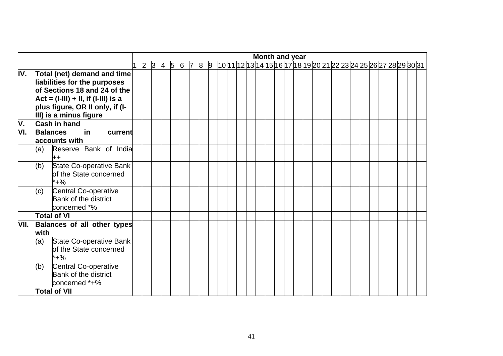|           |             |                                                                                                                                                                          |  |                 |            |     |   |                |  |  |  |  | Month and year |  |  |  |  |  |                                                                    |  |  |
|-----------|-------------|--------------------------------------------------------------------------------------------------------------------------------------------------------------------------|--|-----------------|------------|-----|---|----------------|--|--|--|--|----------------|--|--|--|--|--|--------------------------------------------------------------------|--|--|
|           |             |                                                                                                                                                                          |  | $2 \,  3 \,  4$ | $\sqrt{5}$ | 6 7 | 8 | $\overline{9}$ |  |  |  |  |                |  |  |  |  |  | 10 1 1 12 13 14 15 16 17 18 19 20 21 22 23 24 25 26 27 28 29 30 31 |  |  |
| IV.       |             | Total (net) demand and time<br>liabilities for the purposes<br>of Sections 18 and 24 of the<br>$Act = (I-III) + II$ , if (I-III) is a<br>plus figure, OR II only, if (I- |  |                 |            |     |   |                |  |  |  |  |                |  |  |  |  |  |                                                                    |  |  |
|           |             | III) is a minus figure<br><b>Cash in hand</b>                                                                                                                            |  |                 |            |     |   |                |  |  |  |  |                |  |  |  |  |  |                                                                    |  |  |
| V.<br>VI. |             | $\overline{\mathsf{in}}$<br><b>Balances</b><br>current<br>accounts with                                                                                                  |  |                 |            |     |   |                |  |  |  |  |                |  |  |  |  |  |                                                                    |  |  |
|           | (a)         | Reserve Bank of India<br>++                                                                                                                                              |  |                 |            |     |   |                |  |  |  |  |                |  |  |  |  |  |                                                                    |  |  |
|           | (b)         | State Co-operative Bank<br>of the State concerned<br>$*+%$                                                                                                               |  |                 |            |     |   |                |  |  |  |  |                |  |  |  |  |  |                                                                    |  |  |
|           | (c)         | Central Co-operative<br>Bank of the district<br>concerned *%                                                                                                             |  |                 |            |     |   |                |  |  |  |  |                |  |  |  |  |  |                                                                    |  |  |
|           |             | <b>Total of VI</b>                                                                                                                                                       |  |                 |            |     |   |                |  |  |  |  |                |  |  |  |  |  |                                                                    |  |  |
| VII.      | <b>with</b> | Balances of all other types                                                                                                                                              |  |                 |            |     |   |                |  |  |  |  |                |  |  |  |  |  |                                                                    |  |  |
|           | (a)         | State Co-operative Bank<br>of the State concerned<br>*+%                                                                                                                 |  |                 |            |     |   |                |  |  |  |  |                |  |  |  |  |  |                                                                    |  |  |
|           | (b)         | Central Co-operative<br><b>Bank of the district</b><br>concerned *+%                                                                                                     |  |                 |            |     |   |                |  |  |  |  |                |  |  |  |  |  |                                                                    |  |  |
|           |             | <b>Total of VII</b>                                                                                                                                                      |  |                 |            |     |   |                |  |  |  |  |                |  |  |  |  |  |                                                                    |  |  |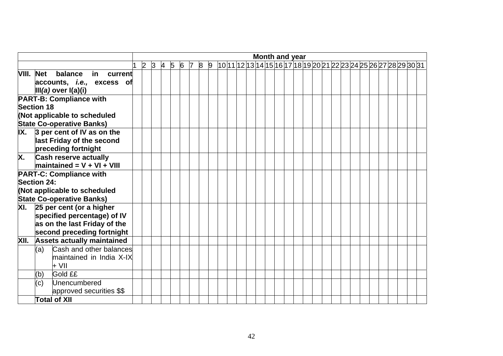|                                                              |  |  |                   |  |  |  |  |  |  | Month and year |  |  |  |  |                                                                   |  |  |
|--------------------------------------------------------------|--|--|-------------------|--|--|--|--|--|--|----------------|--|--|--|--|-------------------------------------------------------------------|--|--|
|                                                              |  |  | $2$ 3 4 5 6 7 8 9 |  |  |  |  |  |  |                |  |  |  |  | 10 11 12 13 14 15 16 17 18 19 20 21 22 23 24 25 26 27 28 29 30 31 |  |  |
| VIII. Net balance<br>in current                              |  |  |                   |  |  |  |  |  |  |                |  |  |  |  |                                                                   |  |  |
| accounts, <i>i.e.</i> , excess of<br>$III(a)$ over $I(a)(i)$ |  |  |                   |  |  |  |  |  |  |                |  |  |  |  |                                                                   |  |  |
| <b>PART-B: Compliance with</b>                               |  |  |                   |  |  |  |  |  |  |                |  |  |  |  |                                                                   |  |  |
| Section 18                                                   |  |  |                   |  |  |  |  |  |  |                |  |  |  |  |                                                                   |  |  |
| (Not applicable to scheduled                                 |  |  |                   |  |  |  |  |  |  |                |  |  |  |  |                                                                   |  |  |
| <b>State Co-operative Banks)</b>                             |  |  |                   |  |  |  |  |  |  |                |  |  |  |  |                                                                   |  |  |
| $\overline{IX.}$ 3 per cent of IV as on the                  |  |  |                   |  |  |  |  |  |  |                |  |  |  |  |                                                                   |  |  |
| last Friday of the second                                    |  |  |                   |  |  |  |  |  |  |                |  |  |  |  |                                                                   |  |  |
| preceding fortnight                                          |  |  |                   |  |  |  |  |  |  |                |  |  |  |  |                                                                   |  |  |
| <b>Cash reserve actually</b><br>Х.                           |  |  |                   |  |  |  |  |  |  |                |  |  |  |  |                                                                   |  |  |
| $maintained = V + VI + VIII$                                 |  |  |                   |  |  |  |  |  |  |                |  |  |  |  |                                                                   |  |  |
| <b>PART-C: Compliance with</b><br>Section 24:                |  |  |                   |  |  |  |  |  |  |                |  |  |  |  |                                                                   |  |  |
| (Not applicable to scheduled                                 |  |  |                   |  |  |  |  |  |  |                |  |  |  |  |                                                                   |  |  |
| <b>State Co-operative Banks)</b>                             |  |  |                   |  |  |  |  |  |  |                |  |  |  |  |                                                                   |  |  |
| $\overline{X}$ I. 25 per cent (or a higher                   |  |  |                   |  |  |  |  |  |  |                |  |  |  |  |                                                                   |  |  |
| specified percentage) of IV                                  |  |  |                   |  |  |  |  |  |  |                |  |  |  |  |                                                                   |  |  |
| as on the last Friday of the                                 |  |  |                   |  |  |  |  |  |  |                |  |  |  |  |                                                                   |  |  |
| second preceding fortnight                                   |  |  |                   |  |  |  |  |  |  |                |  |  |  |  |                                                                   |  |  |
| <b>Assets actually maintained</b><br>XII.                    |  |  |                   |  |  |  |  |  |  |                |  |  |  |  |                                                                   |  |  |
| Cash and other balances<br>(a)                               |  |  |                   |  |  |  |  |  |  |                |  |  |  |  |                                                                   |  |  |
| maintained in India X-IX                                     |  |  |                   |  |  |  |  |  |  |                |  |  |  |  |                                                                   |  |  |
| + VII                                                        |  |  |                   |  |  |  |  |  |  |                |  |  |  |  |                                                                   |  |  |
| Gold ££<br>(b)                                               |  |  |                   |  |  |  |  |  |  |                |  |  |  |  |                                                                   |  |  |
| Unencumbered<br>(c)                                          |  |  |                   |  |  |  |  |  |  |                |  |  |  |  |                                                                   |  |  |
| approved securities \$\$                                     |  |  |                   |  |  |  |  |  |  |                |  |  |  |  |                                                                   |  |  |
| <b>Total of XII</b>                                          |  |  |                   |  |  |  |  |  |  |                |  |  |  |  |                                                                   |  |  |